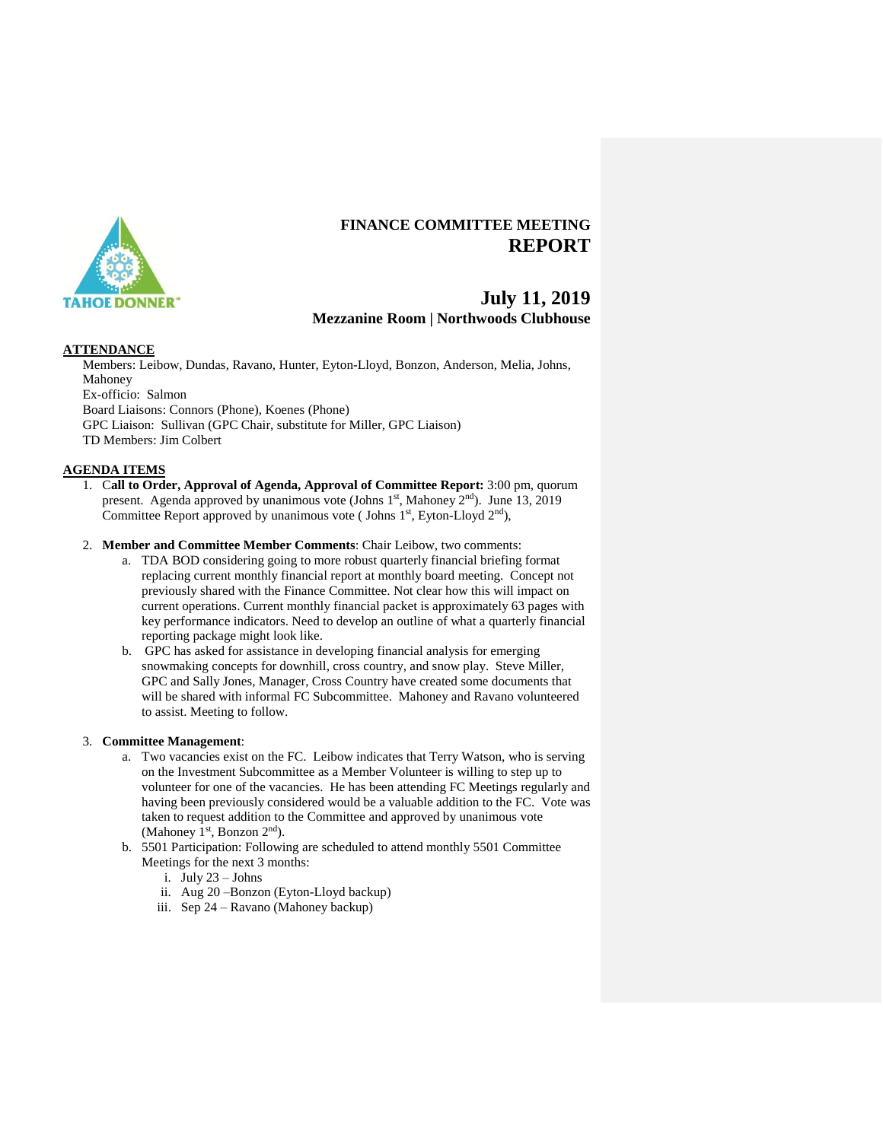

# **FINANCE COMMITTEE MEETING REPORT**

# **July 11, 2019 Mezzanine Room | Northwoods Clubhouse**

## **ATTENDANCE**

Members: Leibow, Dundas, Ravano, Hunter, Eyton-Lloyd, Bonzon, Anderson, Melia, Johns, Mahoney Ex-officio: Salmon Board Liaisons: Connors (Phone), Koenes (Phone) GPC Liaison: Sullivan (GPC Chair, substitute for Miller, GPC Liaison) TD Members: Jim Colbert

## **AGENDA ITEMS**

1. C**all to Order, Approval of Agenda, Approval of Committee Report:** 3:00 pm, quorum present. Agenda approved by unanimous vote (Johns 1<sup>st</sup>, Mahoney 2<sup>nd</sup>). June 13, 2019 Committee Report approved by unanimous vote (Johns  $1<sup>st</sup>$ , Eyton-Lloyd  $2<sup>nd</sup>$ ),

## 2. **Member and Committee Member Comments**: Chair Leibow, two comments:

- a. TDA BOD considering going to more robust quarterly financial briefing format replacing current monthly financial report at monthly board meeting. Concept not previously shared with the Finance Committee. Not clear how this will impact on current operations. Current monthly financial packet is approximately 63 pages with key performance indicators. Need to develop an outline of what a quarterly financial reporting package might look like.
- b. GPC has asked for assistance in developing financial analysis for emerging snowmaking concepts for downhill, cross country, and snow play. Steve Miller, GPC and Sally Jones, Manager, Cross Country have created some documents that will be shared with informal FC Subcommittee. Mahoney and Ravano volunteered to assist. Meeting to follow.

### 3. **Committee Management**:

- a. Two vacancies exist on the FC. Leibow indicates that Terry Watson, who is serving on the Investment Subcommittee as a Member Volunteer is willing to step up to volunteer for one of the vacancies. He has been attending FC Meetings regularly and having been previously considered would be a valuable addition to the FC. Vote was taken to request addition to the Committee and approved by unanimous vote (Mahoney 1st, Bonzon  $2<sup>nd</sup>$ ).
- b. 5501 Participation: Following are scheduled to attend monthly 5501 Committee Meetings for the next 3 months:
	- i. July 23 Johns
	- ii. Aug 20 –Bonzon (Eyton-Lloyd backup)
	- iii. Sep 24 Ravano (Mahoney backup)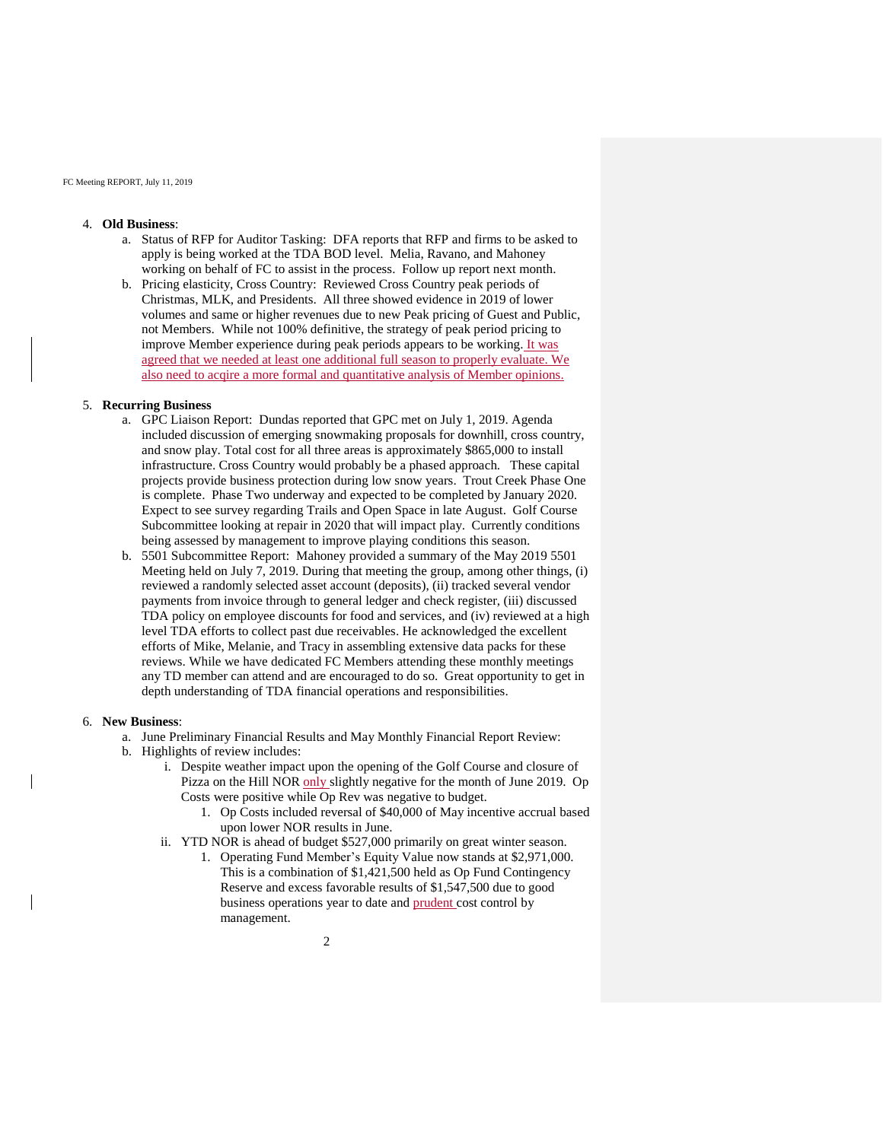#### FC Meeting REPORT, July 11, 2019

### 4. **Old Business**:

- a. Status of RFP for Auditor Tasking: DFA reports that RFP and firms to be asked to apply is being worked at the TDA BOD level. Melia, Ravano, and Mahoney working on behalf of FC to assist in the process. Follow up report next month.
- b. Pricing elasticity, Cross Country: Reviewed Cross Country peak periods of Christmas, MLK, and Presidents. All three showed evidence in 2019 of lower volumes and same or higher revenues due to new Peak pricing of Guest and Public, not Members. While not 100% definitive, the strategy of peak period pricing to improve Member experience during peak periods appears to be working. It was agreed that we needed at least one additional full season to properly evaluate. We also need to acqire a more formal and quantitative analysis of Member opinions.

## 5. **Recurring Business**

- a. GPC Liaison Report: Dundas reported that GPC met on July 1, 2019. Agenda included discussion of emerging snowmaking proposals for downhill, cross country, and snow play. Total cost for all three areas is approximately \$865,000 to install infrastructure. Cross Country would probably be a phased approach. These capital projects provide business protection during low snow years. Trout Creek Phase One is complete. Phase Two underway and expected to be completed by January 2020. Expect to see survey regarding Trails and Open Space in late August. Golf Course Subcommittee looking at repair in 2020 that will impact play. Currently conditions being assessed by management to improve playing conditions this season.
- b. 5501 Subcommittee Report: Mahoney provided a summary of the May 2019 5501 Meeting held on July 7, 2019. During that meeting the group, among other things, (i) reviewed a randomly selected asset account (deposits), (ii) tracked several vendor payments from invoice through to general ledger and check register, (iii) discussed TDA policy on employee discounts for food and services, and (iv) reviewed at a high level TDA efforts to collect past due receivables. He acknowledged the excellent efforts of Mike, Melanie, and Tracy in assembling extensive data packs for these reviews. While we have dedicated FC Members attending these monthly meetings any TD member can attend and are encouraged to do so. Great opportunity to get in depth understanding of TDA financial operations and responsibilities.

#### 6. **New Business**:

- a. June Preliminary Financial Results and May Monthly Financial Report Review:
- b. Highlights of review includes:
	- i. Despite weather impact upon the opening of the Golf Course and closure of Pizza on the Hill NOR only slightly negative for the month of June 2019. Op Costs were positive while Op Rev was negative to budget.
		- 1. Op Costs included reversal of \$40,000 of May incentive accrual based upon lower NOR results in June.
	- ii. YTD NOR is ahead of budget \$527,000 primarily on great winter season.
		- 1. Operating Fund Member's Equity Value now stands at \$2,971,000. This is a combination of \$1,421,500 held as Op Fund Contingency Reserve and excess favorable results of \$1,547,500 due to good business operations year to date and prudent cost control by management.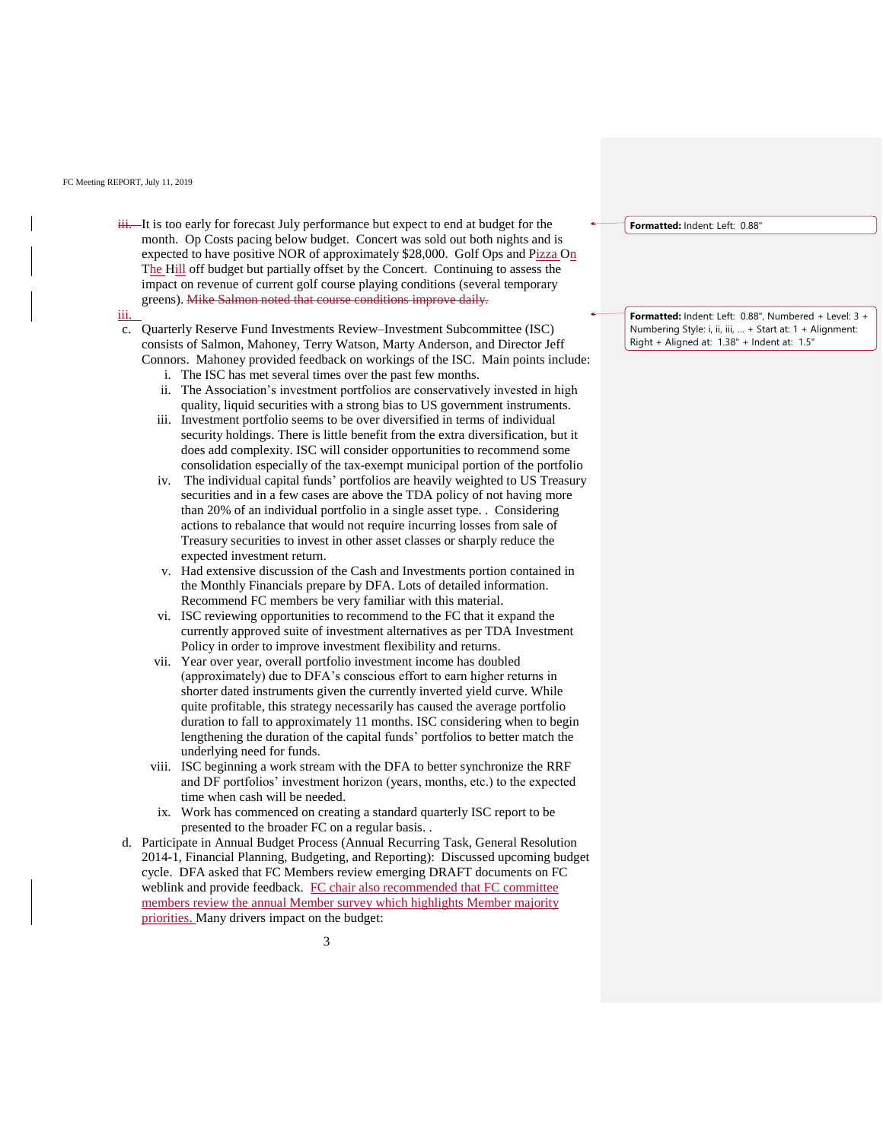#### FC Meeting REPORT, July 11, 2019

 $\dddot{\mathbf{H}}$ . It is too early for forecast July performance but expect to end at budget for the month. Op Costs pacing below budget. Concert was sold out both nights and is expected to have positive NOR of approximately \$28,000. Golf Ops and Pizza On The Hill off budget but partially offset by the Concert. Continuing to assess the impact on revenue of current golf course playing conditions (several temporary greens). Mike Salmon noted that course conditions improve daily.

iii.

- c. Quarterly Reserve Fund Investments Review–Investment Subcommittee (ISC) consists of Salmon, Mahoney, Terry Watson, Marty Anderson, and Director Jeff Connors. Mahoney provided feedback on workings of the ISC. Main points include:
	- i. The ISC has met several times over the past few months.
	- ii. The Association's investment portfolios are conservatively invested in high quality, liquid securities with a strong bias to US government instruments.
	- iii. Investment portfolio seems to be over diversified in terms of individual security holdings. There is little benefit from the extra diversification, but it does add complexity. ISC will consider opportunities to recommend some consolidation especially of the tax-exempt municipal portion of the portfolio
	- iv. The individual capital funds' portfolios are heavily weighted to US Treasury securities and in a few cases are above the TDA policy of not having more than 20% of an individual portfolio in a single asset type. . Considering actions to rebalance that would not require incurring losses from sale of Treasury securities to invest in other asset classes or sharply reduce the expected investment return.
	- v. Had extensive discussion of the Cash and Investments portion contained in the Monthly Financials prepare by DFA. Lots of detailed information. Recommend FC members be very familiar with this material.
	- vi. ISC reviewing opportunities to recommend to the FC that it expand the currently approved suite of investment alternatives as per TDA Investment Policy in order to improve investment flexibility and returns.
	- vii. Year over year, overall portfolio investment income has doubled (approximately) due to DFA's conscious effort to earn higher returns in shorter dated instruments given the currently inverted yield curve. While quite profitable, this strategy necessarily has caused the average portfolio duration to fall to approximately 11 months. ISC considering when to begin lengthening the duration of the capital funds' portfolios to better match the underlying need for funds.
	- viii. ISC beginning a work stream with the DFA to better synchronize the RRF and DF portfolios' investment horizon (years, months, etc.) to the expected time when cash will be needed.
	- ix. Work has commenced on creating a standard quarterly ISC report to be presented to the broader FC on a regular basis. .
- d. Participate in Annual Budget Process (Annual Recurring Task, General Resolution 2014-1, Financial Planning, Budgeting, and Reporting): Discussed upcoming budget cycle. DFA asked that FC Members review emerging DRAFT documents on FC weblink and provide feedback. FC chair also recommended that FC committee members review the annual Member survey which highlights Member majority priorities. Many drivers impact on the budget:

**Formatted:** Indent: Left: 0.88"

**Formatted:** Indent: Left: 0.88", Numbered + Level: 3 + Numbering Style: i, ii, iii, … + Start at: 1 + Alignment: Right + Aligned at: 1.38" + Indent at: 1.5"